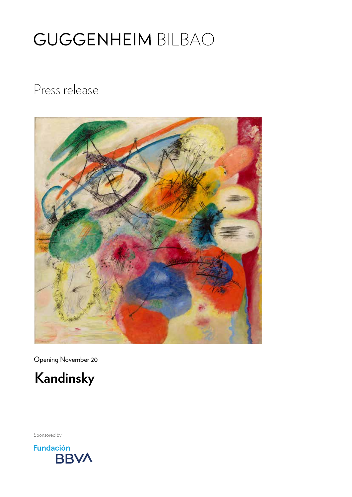Press release



Opening November 20



Sponsored by

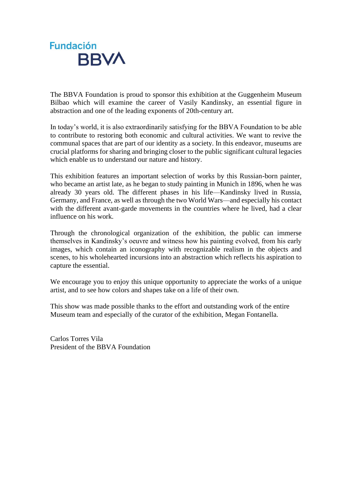

The BBVA Foundation is proud to sponsor this exhibition at the Guggenheim Museum Bilbao which will examine the career of Vasily Kandinsky, an essential figure in abstraction and one of the leading exponents of 20th-century art.

In today's world, it is also extraordinarily satisfying for the BBVA Foundation to be able to contribute to restoring both economic and cultural activities. We want to revive the communal spaces that are part of our identity as a society. In this endeavor, museums are crucial platforms for sharing and bringing closer to the public significant cultural legacies which enable us to understand our nature and history.

This exhibition features an important selection of works by this Russian-born painter, who became an artist late, as he began to study painting in Munich in 1896, when he was already 30 years old. The different phases in his life—Kandinsky lived in Russia, Germany, and France, as well as through the two World Wars—and especially his contact with the different avant-garde movements in the countries where he lived, had a clear influence on his work.

Through the chronological organization of the exhibition, the public can immerse themselves in Kandinsky's oeuvre and witness how his painting evolved, from his early images, which contain an iconography with recognizable realism in the objects and scenes, to his wholehearted incursions into an abstraction which reflects his aspiration to capture the essential.

We encourage you to enjoy this unique opportunity to appreciate the works of a unique artist, and to see how colors and shapes take on a life of their own.

This show was made possible thanks to the effort and outstanding work of the entire Museum team and especially of the curator of the exhibition, Megan Fontanella.

Carlos Torres Vila President of the BBVA Foundation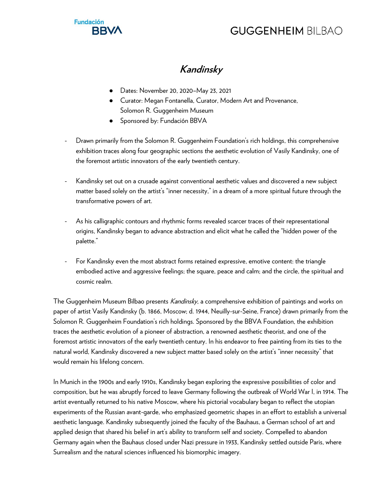

# **Kandinsky**

- Dates: November 20, 2020–May 23, 2021
- Curator: Megan Fontanella, Curator, Modern Art and Provenance, Solomon R. Guggenheim Museum
- Sponsored by: Fundación BBVA
- Drawn primarily from the Solomon R. Guggenheim Foundation's rich holdings, this comprehensive exhibition traces along four geographic sections the aesthetic evolution of Vasily Kandinsky, one of the foremost artistic innovators of the early twentieth century.
- Kandinsky set out on a crusade against conventional aesthetic values and discovered a new subject matter based solely on the artist's "inner necessity," in a dream of a more spiritual future through the transformative powers of art.
- As his calligraphic contours and rhythmic forms revealed scarcer traces of their representational origins, Kandinsky began to advance abstraction and elicit what he called the "hidden power of the palette."
- For Kandinsky even the most abstract forms retained expressive, emotive content: the triangle embodied active and aggressive feelings; the square, peace and calm; and the circle, the spiritual and cosmic realm.

The Guggenheim Museum Bilbao presents *Kandinsky*, a comprehensive exhibition of paintings and works on paper of artist Vasily Kandinsky (b. 1866, Moscow; d. 1944, Neuilly-sur-Seine, France) drawn primarily from the Solomon R. Guggenheim Foundation's rich holdings. Sponsored by the BBVA Foundation, the exhibition traces the aesthetic evolution of a pioneer of abstraction, a renowned aesthetic theorist, and one of the foremost artistic innovators of the early twentieth century. In his endeavor to free painting from its ties to the natural world, Kandinsky discovered a new subject matter based solely on the artist's "inner necessity" that would remain his lifelong concern.

In Munich in the 1900s and early 1910s, Kandinsky began exploring the expressive possibilities of color and composition, but he was abruptly forced to leave Germany following the outbreak of World War I, in 1914. The artist eventually returned to his native Moscow, where his pictorial vocabulary began to reflect the utopian experiments of the Russian avant-garde, who emphasized geometric shapes in an effort to establish a universal aesthetic language. Kandinsky subsequently joined the faculty of the Bauhaus, a German school of art and applied design that shared his belief in art's ability to transform self and society. Compelled to abandon Germany again when the Bauhaus closed under Nazi pressure in 1933, Kandinsky settled outside Paris, where Surrealism and the natural sciences influenced his biomorphic imagery.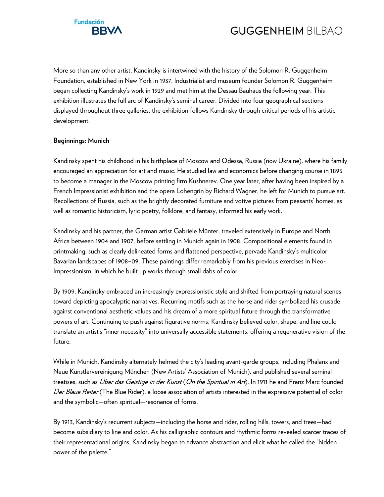

More so than any other artist, Kandinsky is intertwined with the history of the Solomon R. Guggenheim Foundation, established in New York in 1937. Industrialist and museum founder Solomon R. Guggenheim began collecting Kandinsky's work in 1929 and met him at the Dessau Bauhaus the following year. This exhibition illustrates the full arc of Kandinsky's seminal career. Divided into four geographical sections displayed throughout three galleries, the exhibition follows Kandinsky through critical periods of his artistic development.

#### **Beginnings: Munich**

Kandinsky spent his childhood in his birthplace of Moscow and Odessa, Russia (now Ukraine), where his family encouraged an appreciation for art and music. He studied law and economics before changing course in 1895 to become a manager in the Moscow printing firm Kushnerev. One year later, after having been inspired by a French Impressionist exhibition and the opera Lohengrin by Richard Wagner, he left for Munich to pursue art. Recollections of Russia, such as the brightly decorated furniture and votive pictures from peasants' homes, as well as romantic historicism, lyric poetry, folklore, and fantasy, informed his early work.

Kandinsky and his partner, the German artist Gabriele Münter, traveled extensively in Europe and North Africa between 1904 and 1907, before settling in Munich again in 1908. Compositional elements found in printmaking, such as clearly delineated forms and flattened perspective, pervade Kandinsky's multicolor Bavarian landscapes of 1908–09. These paintings differ remarkably from his previous exercises in Neo-Impressionism, in which he built up works through small dabs of color.

By 1909, Kandinsky embraced an increasingly expressionistic style and shifted from portraying natural scenes toward depicting apocalyptic narratives. Recurring motifs such as the horse and rider symbolized his crusade against conventional aesthetic values and his dream of a more spiritual future through the transformative powers of art. Continuing to push against figurative norms, Kandinsky believed color, shape, and line could translate an artist's "inner necessity" into universally accessible statements, offering a regenerative vision of the future.

While in Munich, Kandinsky alternately helmed the city's leading avant-garde groups, including Phalanx and Neue Künstlervereinigung München (New Artists' Association of Munich), and published several seminal treatises, such as *Über das Geistige in der Kunst (On the Spiritual in Art*). In 1911 he and Franz Marc founded Der Blaue Reiter (The Blue Rider), a loose association of artists interested in the expressive potential of color and the symbolic—often spiritual—resonance of forms.

By 1913, Kandinsky's recurrent subjects—including the horse and rider, rolling hills, towers, and trees—had become subsidiary to line and color. As his calligraphic contours and rhythmic forms revealed scarcer traces of their representational origins, Kandinsky began to advance abstraction and elicit what he called the "hidden power of the palette."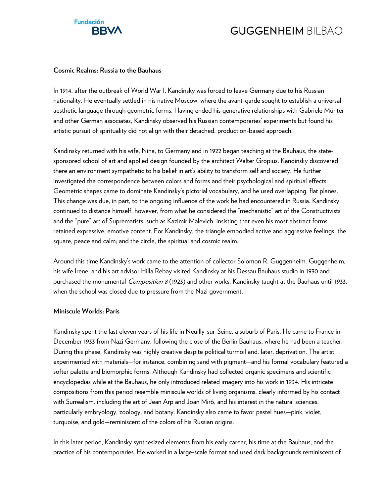

#### **Cosmic Realms: Russia to the Bauhaus**

In 1914, after the outbreak of World War I, Kandinsky was forced to leave Germany due to his Russian nationality. He eventually settled in his native Moscow, where the avant-garde sought to establish a universal aesthetic language through geometric forms. Having ended his generative relationships with Gabriele Münter and other German associates, Kandinsky observed his Russian contemporaries' experiments but found his artistic pursuit of spirituality did not align with their detached, production-based approach.

Kandinsky returned with his wife, Nina, to Germany and in 1922 began teaching at the Bauhaus, the statesponsored school of art and applied design founded by the architect Walter Gropius. Kandinsky discovered there an environment sympathetic to his belief in art's ability to transform self and society. He further investigated the correspondence between colors and forms and their psychological and spiritual effects. Geometric shapes came to dominate Kandinsky's pictorial vocabulary, and he used overlapping, flat planes. This change was due, in part, to the ongoing influence of the work he had encountered in Russia. Kandinsky continued to distance himself, however, from what he considered the "mechanistic" art of the Constructivists and the "pure" art of Suprematists, such as Kazimir Malevich, insisting that even his most abstract forms retained expressive, emotive content. For Kandinsky, the triangle embodied active and aggressive feelings; the square, peace and calm; and the circle, the spiritual and cosmic realm.

Around this time Kandinsky's work came to the attention of collector Solomon R. Guggenheim. Guggenheim, his wife Irene, and his art advisor Hilla Rebay visited Kandinsky at his Dessau Bauhaus studio in 1930 and purchased the monumental *Composition 8* (1923) and other works. Kandinsky taught at the Bauhaus until 1933, when the school was closed due to pressure from the Nazi government.

#### **Miniscule Worlds: Paris**

Kandinsky spent the last eleven years of his life in Neuilly-sur-Seine, a suburb of Paris. He came to France in December 1933 from Nazi Germany, following the close of the Berlin Bauhaus, where he had been a teacher. During this phase, Kandinsky was highly creative despite political turmoil and, later, deprivation. The artist experimented with materials—for instance, combining sand with pigment—and his formal vocabulary featured a softer palette and biomorphic forms. Although Kandinsky had collected organic specimens and scientific encyclopedias while at the Bauhaus, he only introduced related imagery into his work in 1934. His intricate compositions from this period resemble miniscule worlds of living organisms, clearly informed by his contact with Surrealism, including the art of Jean Arp and Joan Miró, and his interest in the natural sciences, particularly embryology, zoology, and botany. Kandinsky also came to favor pastel hues—pink, violet, turquoise, and gold—reminiscent of the colors of his Russian origins.

In this later period, Kandinsky synthesized elements from his early career, his time at the Bauhaus, and the practice of his contemporaries. He worked in a large-scale format and used dark backgrounds reminiscent of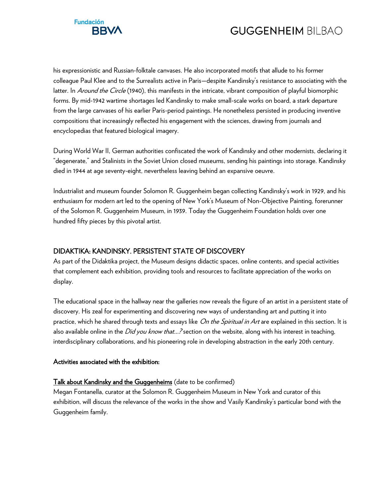

his expressionistic and Russian-folktale canvases. He also incorporated motifs that allude to his former colleague Paul Klee and to the Surrealists active in Paris—despite Kandinsky's resistance to associating with the latter. In Around the Circle (1940), this manifests in the intricate, vibrant composition of playful biomorphic forms. By mid-1942 wartime shortages led Kandinsky to make small-scale works on board, a stark departure from the large canvases of his earlier Paris-period paintings. He nonetheless persisted in producing inventive compositions that increasingly reflected his engagement with the sciences, drawing from journals and encyclopedias that featured biological imagery.

During World War II, German authorities confiscated the work of Kandinsky and other modernists, declaring it "degenerate," and Stalinists in the Soviet Union closed museums, sending his paintings into storage. Kandinsky died in 1944 at age seventy-eight, nevertheless leaving behind an expansive oeuvre.

Industrialist and museum founder Solomon R. Guggenheim began collecting Kandinsky's work in 1929, and his enthusiasm for modern art led to the opening of New York's Museum of Non-Objective Painting, forerunner of the Solomon R. Guggenheim Museum, in 1939. Today the Guggenheim Foundation holds over one hundred fifty pieces by this pivotal artist.

#### DIDAKTIKA: KANDINSKY. PERSISTENT STATE OF DISCOVERY

As part of the Didaktika project, the Museum designs didactic spaces, online contents, and special activities that complement each exhibition, providing tools and resources to facilitate appreciation of the works on display.

The educational space in the hallway near the galleries now reveals the figure of an artist in a persistent state of discovery. His zeal for experimenting and discovering new ways of understanding art and putting it into practice, which he shared through texts and essays like On the Spiritual in Art are explained in this section. It is also available online in the *Did you know that...?* section on the website, along with his interest in teaching, interdisciplinary collaborations, and his pioneering role in developing abstraction in the early 20th century.

#### Activities associated with the exhibition:

#### Talk about Kandinsky and the Guggenheims (date to be confirmed)

Megan Fontanella, curator at the Solomon R. Guggenheim Museum in New York and curator of this exhibition, will discuss the relevance of the works in the show and Vasily Kandinsky's particular bond with the Guggenheim family.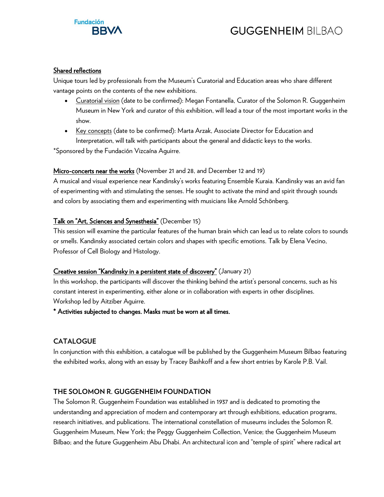

#### Shared reflections

Unique tours led by professionals from the Museum's Curatorial and Education areas who share different vantage points on the contents of the new exhibitions.

- Curatorial vision (date to be confirmed): Megan Fontanella, Curator of the Solomon R. Guggenheim Museum in New York and curator of this exhibition, will lead a tour of the most important works in the show.
- Key concepts (date to be confirmed): Marta Arzak, Associate Director for Education and Interpretation, will talk with participants about the general and didactic keys to the works.

\*Sponsored by the Fundación Vizcaína Aguirre.

#### Micro-concerts near the works (November 21 and 28, and December 12 and 19)

A musical and visual experience near Kandinsky's works featuring Ensemble Kuraia. Kandinsky was an avid fan of experimenting with and stimulating the senses. He sought to activate the mind and spirit through sounds and colors by associating them and experimenting with musicians like Arnold Schönberg.

#### Talk on "Art, Sciences and Synesthesia" (December 15)

This session will examine the particular features of the human brain which can lead us to relate colors to sounds or smells. Kandinsky associated certain colors and shapes with specific emotions. Talk by Elena Vecino, Professor of Cell Biology and Histology.

#### Creative session "Kandinsky in a persistent state of discovery" (January 21)

In this workshop, the participants will discover the thinking behind the artist's personal concerns, such as his constant interest in experimenting, either alone or in collaboration with experts in other disciplines. Workshop led by Aitziber Aguirre.

\* Activities subjected to changes. Masks must be worn at all times.

#### **CATALOGUE**

In conjunction with this exhibition, a catalogue will be published by the Guggenheim Museum Bilbao featuring the exhibited works, along with an essay by Tracey Bashkoff and a few short entries by Karole P.B. Vail.

#### **THE SOLOMON R. GUGGENHEIM FOUNDATION**

The Solomon R. Guggenheim Foundation was established in 1937 and is dedicated to promoting the understanding and appreciation of modern and contemporary art through exhibitions, education programs, research initiatives, and publications. The international constellation of museums includes the Solomon R. Guggenheim Museum, New York; the Peggy Guggenheim Collection, Venice; the Guggenheim Museum Bilbao; and the future Guggenheim Abu Dhabi. An architectural icon and "temple of spirit" where radical art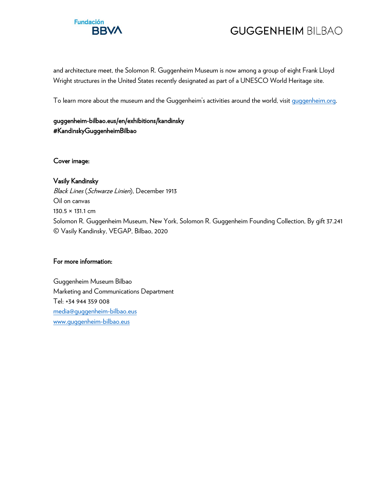

and architecture meet, the Solomon R. Guggenheim Museum is now among a group of eight Frank Lloyd Wright structures in the United States recently designated as part of a UNESCO World Heritage site.

To learn more about the museum and the Guggenheim's activities around the world, visit [guggenheim.org.](http://www.guggenheim.org/)

#### [guggenheim-bilbao.eus/en/exhibitions/kandinsky](https://www.guggenheim-bilbao.eus/en/exhibitions/kandinsky)  #KandinskyGuggenheimBilbao

Cover image:

### Vasily Kandinsky

Black Lines (Schwarze Linien), December 1913 Oil on canvas 130.5 × 131.1 cm Solomon R. Guggenheim Museum, New York, Solomon R. Guggenheim Founding Collection, By gift 37.241 © Vasily Kandinsky, VEGAP, Bilbao, 2020

#### For more information:

Guggenheim Museum Bilbao Marketing and Communications Department Tel: +34 944 359 008 [media@guggenheim-bilbao.eus](mailto:media@guggenheim-bilbao.eus) [www.guggenheim-bilbao.eus](http://www.guggenheim-bilbao.eus/)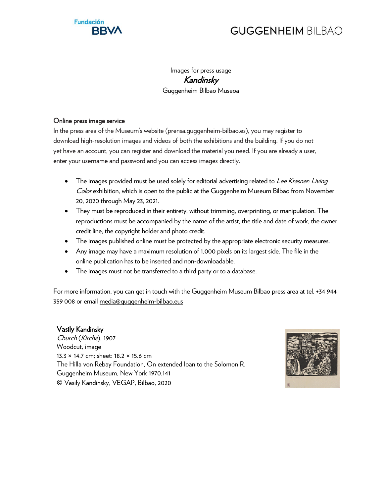

Images for press usage Kandinsky

Guggenheim Bilbao Museoa

#### Online press image service

In the press area of the Museum's website (prensa.guggenheim-bilbao.es), you may register to download high-resolution images and videos of both the exhibitions and the building. If you do not yet have an account, you can register and download the material you need. If you are already a user, enter your username and password and you can access images directly.

- The images provided must be used solely for editorial advertising related to Lee Krasner: Living Color exhibition, which is open to the public at the Guggenheim Museum Bilbao from November 20, 2020 through May 23, 2021.
- They must be reproduced in their entirety, without trimming, overprinting, or manipulation. The reproductions must be accompanied by the name of the artist, the title and date of work, the owner credit line, the copyright holder and photo credit.
- The images published online must be protected by the appropriate electronic security measures.
- Any image may have a maximum resolution of 1,000 pixels on its largest side. The file in the online publication has to be inserted and non-downloadable.
- The images must not be transferred to a third party or to a database.

For more information, you can get in touch with the Guggenheim Museum Bilbao press area at tel. +34 944 359 008 or emai[l media@guggenheim-bilbao.eus](mailto:media@guggenheim-bilbao.eus)

#### Vasily Kandinsky

Church (Kirche), 1907 Woodcut, image 13.3 × 14.7 cm; sheet: 18.2 × 15.6 cm The Hilla von Rebay Foundation, On extended loan to the Solomon R. Guggenheim Museum, New York 1970.141 © Vasily Kandinsky, VEGAP, Bilbao, 2020

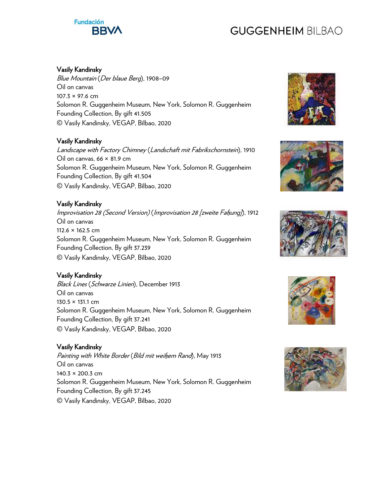# **Fundación BBV**

# **GUGGENHEIM BILBAO**

### Vasily Kandinsky

Blue Mountain (Der blaue Berg), 1908–09 Oil on canvas 107.3 × 97.6 cm Solomon R. Guggenheim Museum, New York, Solomon R. Guggenheim Founding Collection, By gift 41.505 © Vasily Kandinsky, VEGAP, Bilbao, 2020

#### Vasily Kandinsky

Landscape with Factory Chimney (Landschaft mit Fabrikschornstein), 1910 Oil on canvas, 66 × 81.9 cm Solomon R. Guggenheim Museum, New York, Solomon R. Guggenheim Founding Collection, By gift 41.504 © Vasily Kandinsky, VEGAP, Bilbao, 2020

### Vasily Kandinsky

Improvisation 28 (Second Version) (Improvisation 28 [zweite Faßung]), 1912 Oil on canvas 112.6 × 162.5 cm Solomon R. Guggenheim Museum, New York, Solomon R. Guggenheim Founding Collection, By gift 37.239 © Vasily Kandinsky, VEGAP, Bilbao, 2020

### Vasily Kandinsky

Black Lines (Schwarze Linien), December 1913 Oil on canvas 130.5 × 131.1 cm Solomon R. Guggenheim Museum, New York, Solomon R. Guggenheim Founding Collection, By gift 37.241 © Vasily Kandinsky, VEGAP, Bilbao, 2020

#### Vasily Kandinsky

Painting with White Border (Bild mit weißem Rand), May 1913 Oil on canvas 140.3 × 200.3 cm Solomon R. Guggenheim Museum, New York, Solomon R. Guggenheim Founding Collection, By gift 37.245 © Vasily Kandinsky, VEGAP, Bilbao, 2020









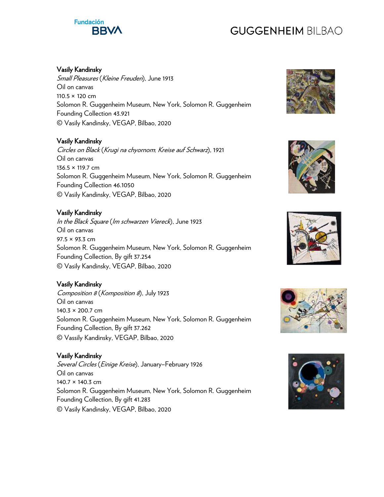# **Fundación BBV**

# **GUGGENHEIM BILBAO**

### Vasily Kandinsky

Small Pleasures (Kleine Freuden), June 1913 Oil on canvas 110.5 × 120 cm Solomon R. Guggenheim Museum, New York, Solomon R. Guggenheim Founding Collection 43.921 © Vasily Kandinsky, VEGAP, Bilbao, 2020

### Vasily Kandinsky

Circles on Black (Krugi na chyornom; Kreise auf Schwarz), 1921 Oil on canvas 136.5 × 119.7 cm Solomon R. Guggenheim Museum, New York, Solomon R. Guggenheim Founding Collection 46.1050 © Vasily Kandinsky, VEGAP, Bilbao, 2020

### Vasily Kandinsky

In the Black Square (Im schwarzen Viereck), June 1923 Oil on canvas 97.5 × 93.3 cm Solomon R. Guggenheim Museum, New York, Solomon R. Guggenheim Founding Collection, By gift 37.254 © Vasily Kandinsky, VEGAP, Bilbao, 2020

### Vasily Kandinsky

Composition 8 (Komposition 8), July 1923 Oil on canvas 140.3 × 200.7 cm Solomon R. Guggenheim Museum, New York, Solomon R. Guggenheim Founding Collection, By gift 37.262 © Vassily Kandinsky, VEGAP, Bilbao, 2020

#### Vasily Kandinsky

Several Circles (Einige Kreise), January–February 1926 Oil on canvas 140.7 × 140.3 cm Solomon R. Guggenheim Museum, New York, Solomon R. Guggenheim Founding Collection, By gift 41.283 © Vasily Kandinsky, VEGAP, Bilbao, 2020









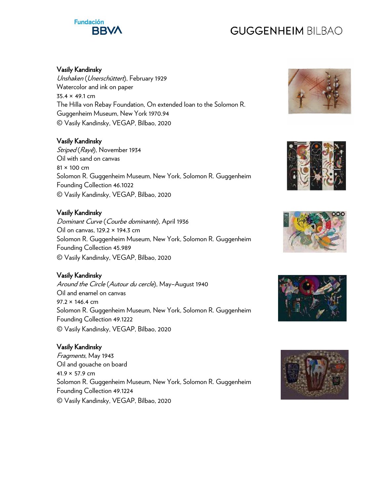# **Fundación BBV**

# **GUGGENHEIM BILBAO**

### Vasily Kandinsky

Unshaken (Unerschüttert), February 1929 Watercolor and ink on paper 35.4 × 49.1 cm The Hilla von Rebay Foundation, On extended loan to the Solomon R. Guggenheim Museum, New York 1970.94 © Vasily Kandinsky, VEGAP, Bilbao, 2020

### Vasily Kandinsky

Striped (Rayé), November 1934 Oil with sand on canvas 81 × 100 cm Solomon R. Guggenheim Museum, New York, Solomon R. Guggenheim Founding Collection 46.1022 © Vasily Kandinsky, VEGAP, Bilbao, 2020

### Vasily Kandinsky

Dominant Curve (Courbe dominante), April 1936 Oil on canvas, 129.2 × 194.3 cm Solomon R. Guggenheim Museum, New York, Solomon R. Guggenheim Founding Collection 45.989 © Vasily Kandinsky, VEGAP, Bilbao, 2020

### Vasily Kandinsky

Around the Circle (Autour du cercle), May–August 1940 Oil and enamel on canvas 97.2 × 146.4 cm Solomon R. Guggenheim Museum, New York, Solomon R. Guggenheim Founding Collection 49.1222 © Vasily Kandinsky, VEGAP, Bilbao, 2020

#### Vasily Kandinsky

Fragments, May 1943 Oil and gouache on board 41.9 × 57.9 cm Solomon R. Guggenheim Museum, New York, Solomon R. Guggenheim Founding Collection 49.1224 © Vasily Kandinsky, VEGAP, Bilbao, 2020